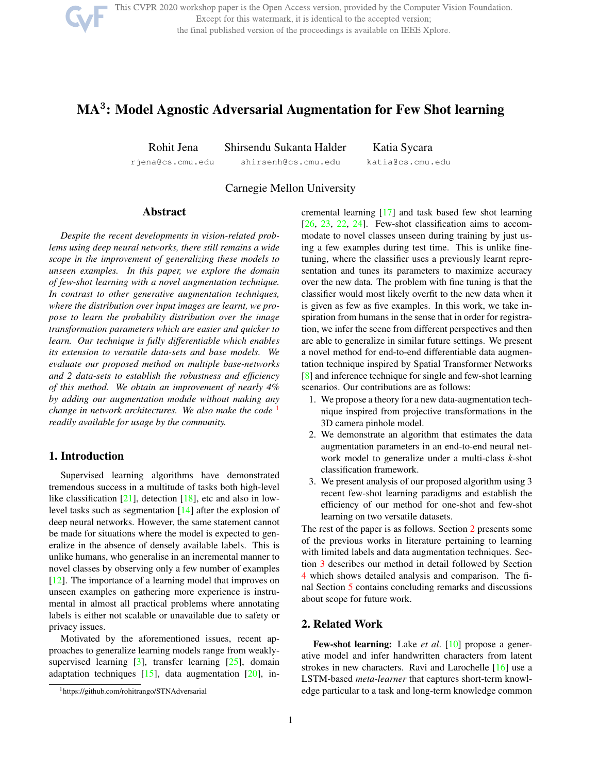

This CVPR 2020 workshop paper is the Open Access version, provided by the Computer Vision Foundation. Except for this watermark, it is identical to the accepted version; the final published version of the proceedings is available on IEEE Xplore.

# MA<sup>3</sup>: Model Agnostic Adversarial Augmentation for Few Shot learning

Rohit Jena Shirsendu Sukanta Halder Katia Sycara rjena@cs.cmu.edu shirsenh@cs.cmu.edu katia@cs.cmu.edu

Carnegie Mellon University

### **Abstract**

*Despite the recent developments in vision-related problems using deep neural networks, there still remains a wide scope in the improvement of generalizing these models to unseen examples. In this paper, we explore the domain of few-shot learning with a novel augmentation technique. In contrast to other generative augmentation techniques, where the distribution over input images are learnt, we propose to learn the probability distribution over the image transformation parameters which are easier and quicker to learn. Our technique is fully differentiable which enables its extension to versatile data-sets and base models. We evaluate our proposed method on multiple base-networks and 2 data-sets to establish the robustness and efficiency of this method. We obtain an improvement of nearly 4% by adding our augmentation module without making any change in network architectures. We also make the code* <sup>1</sup> *readily available for usage by the community.*

#### 1. Introduction

Supervised learning algorithms have demonstrated tremendous success in a multitude of tasks both high-level like classification  $[21]$ , detection  $[18]$ , etc and also in lowlevel tasks such as segmentation [14] after the explosion of deep neural networks. However, the same statement cannot be made for situations where the model is expected to generalize in the absence of densely available labels. This is unlike humans, who generalise in an incremental manner to novel classes by observing only a few number of examples [12]. The importance of a learning model that improves on unseen examples on gathering more experience is instrumental in almost all practical problems where annotating labels is either not scalable or unavailable due to safety or privacy issues.

Motivated by the aforementioned issues, recent approaches to generalize learning models range from weaklysupervised learning  $[3]$ , transfer learning  $[25]$ , domain adaptation techniques  $[15]$ , data augmentation  $[20]$ , incremental learning [17] and task based few shot learning [26, 23, 22, 24]. Few-shot classification aims to accommodate to novel classes unseen during training by just using a few examples during test time. This is unlike finetuning, where the classifier uses a previously learnt representation and tunes its parameters to maximize accuracy over the new data. The problem with fine tuning is that the classifier would most likely overfit to the new data when it is given as few as five examples. In this work, we take inspiration from humans in the sense that in order for registration, we infer the scene from different perspectives and then are able to generalize in similar future settings. We present a novel method for end-to-end differentiable data augmentation technique inspired by Spatial Transformer Networks [8] and inference technique for single and few-shot learning scenarios. Our contributions are as follows:

- 1. We propose a theory for a new data-augmentation technique inspired from projective transformations in the 3D camera pinhole model.
- 2. We demonstrate an algorithm that estimates the data augmentation parameters in an end-to-end neural network model to generalize under a multi-class *k*-shot classification framework.
- 3. We present analysis of our proposed algorithm using 3 recent few-shot learning paradigms and establish the efficiency of our method for one-shot and few-shot learning on two versatile datasets.

The rest of the paper is as follows. Section 2 presents some of the previous works in literature pertaining to learning with limited labels and data augmentation techniques. Section 3 describes our method in detail followed by Section 4 which shows detailed analysis and comparison. The final Section 5 contains concluding remarks and discussions about scope for future work.

# 2. Related Work

Few-shot learning: Lake *et al*. [10] propose a generative model and infer handwritten characters from latent strokes in new characters. Ravi and Larochelle [16] use a LSTM-based *meta-learner* that captures short-term knowledge particular to a task and long-term knowledge common

<sup>1</sup>https://github.com/rohitrango/STNAdversarial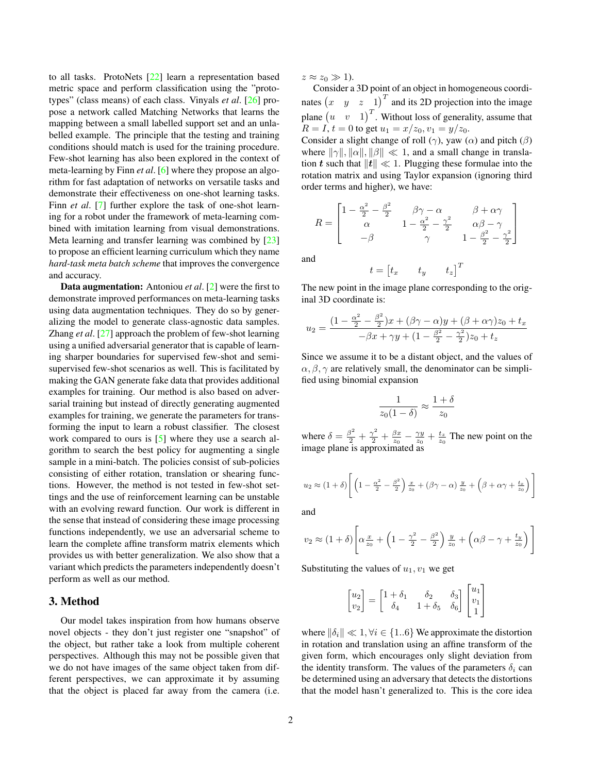to all tasks. ProtoNets [22] learn a representation based metric space and perform classification using the "prototypes" (class means) of each class. Vinyals *et al*. [26] propose a network called Matching Networks that learns the mapping between a small labelled support set and an unlabelled example. The principle that the testing and training conditions should match is used for the training procedure. Few-shot learning has also been explored in the context of meta-learning by Finn *et al*. [6] where they propose an algorithm for fast adaptation of networks on versatile tasks and demonstrate their effectiveness on one-shot learning tasks. Finn *et al.* [7] further explore the task of one-shot learning for a robot under the framework of meta-learning combined with imitation learning from visual demonstrations. Meta learning and transfer learning was combined by [23] to propose an efficient learning curriculum which they name *hard-task meta batch scheme* that improves the convergence and accuracy.

Data augmentation: Antoniou *et al*. [2] were the first to demonstrate improved performances on meta-learning tasks using data augmentation techniques. They do so by generalizing the model to generate class-agnostic data samples. Zhang *et al*. [27] approach the problem of few-shot learning using a unified adversarial generator that is capable of learning sharper boundaries for supervised few-shot and semisupervised few-shot scenarios as well. This is facilitated by making the GAN generate fake data that provides additional examples for training. Our method is also based on adversarial training but instead of directly generating augmented examples for training, we generate the parameters for transforming the input to learn a robust classifier. The closest work compared to ours is [5] where they use a search algorithm to search the best policy for augmenting a single sample in a mini-batch. The policies consist of sub-policies consisting of either rotation, translation or shearing functions. However, the method is not tested in few-shot settings and the use of reinforcement learning can be unstable with an evolving reward function. Our work is different in the sense that instead of considering these image processing functions independently, we use an adversarial scheme to learn the complete affine transform matrix elements which provides us with better generalization. We also show that a variant which predicts the parameters independently doesn't perform as well as our method.

## 3. Method

Our model takes inspiration from how humans observe novel objects - they don't just register one "snapshot" of the object, but rather take a look from multiple coherent perspectives. Although this may not be possible given that we do not have images of the same object taken from different perspectives, we can approximate it by assuming that the object is placed far away from the camera (i.e.

 $z \approx z_0 \gg 1$ ).

Consider a 3D point of an object in homogeneous coordinates  $\begin{pmatrix} x & y & z & 1 \end{pmatrix}^T$  and its 2D projection into the image plane  $(u \quad v \quad 1)^T$ . Without loss of generality, assume that  $R = I$ ,  $t = 0$  to get  $u_1 = x/z_0$ ,  $v_1 = y/z_0$ .

Consider a slight change of roll ( $\gamma$ ), yaw ( $\alpha$ ) and pitch ( $\beta$ ) where  $\|\gamma\|$ ,  $\|\alpha\|$ ,  $\|\beta\| \ll 1$ , and a small change in translation t such that  $||t|| \ll 1$ . Plugging these formulae into the rotation matrix and using Taylor expansion (ignoring third order terms and higher), we have:

$$
R = \begin{bmatrix} 1 - \frac{\alpha^2}{2} - \frac{\beta^2}{2} & \beta\gamma - \alpha & \beta + \alpha\gamma \\ \alpha & 1 - \frac{\alpha^2}{2} - \frac{\gamma^2}{2} & \alpha\beta - \gamma \\ -\beta & \gamma & 1 - \frac{\beta^2}{2} - \frac{\gamma^2}{2} \end{bmatrix}
$$

and

$$
t = \begin{bmatrix} t_x & t_y & t_z \end{bmatrix}^T
$$

The new point in the image plane corresponding to the original 3D coordinate is:

$$
u_2 = \frac{(1 - \frac{\alpha^2}{2} - \frac{\beta^2}{2})x + (\beta\gamma - \alpha)y + (\beta + \alpha\gamma)z_0 + t_x}{-\beta x + \gamma y + (1 - \frac{\beta^2}{2} - \frac{\gamma^2}{2})z_0 + t_z}
$$

Since we assume it to be a distant object, and the values of  $\alpha, \beta, \gamma$  are relatively small, the denominator can be simplified using binomial expansion

$$
\frac{1}{z_0(1-\delta)} \approx \frac{1+\delta}{z_0}
$$

where  $\delta = \frac{\beta^2}{2} + \frac{\gamma^2}{2} + \frac{\beta x}{z_0} - \frac{\gamma y}{z_0} + \frac{t_z}{z_0}$  The new point on the image plane is approximated as

$$
u_2 \approx (1+\delta) \left[ \left( 1 - \frac{\alpha^2}{2} - \frac{\beta^2}{2} \right) \frac{x}{z_0} + (\beta \gamma - \alpha) \frac{y}{z_0} + \left( \beta + \alpha \gamma + \frac{t_x}{z_0} \right) \right]
$$

and

$$
v_2 \approx (1+\delta) \left[ \alpha \frac{x}{z_0} + \left( 1 - \frac{\gamma^2}{2} - \frac{\beta^2}{2} \right) \frac{y}{z_0} + \left( \alpha \beta - \gamma + \frac{t_y}{z_0} \right) \right]
$$

Substituting the values of  $u_1, v_1$  we get

$$
\begin{bmatrix} u_2 \\ v_2 \end{bmatrix} = \begin{bmatrix} 1+\delta_1 & \delta_2 & \delta_3 \\ \delta_4 & 1+\delta_5 & \delta_6 \end{bmatrix} \begin{bmatrix} u_1 \\ v_1 \\ 1 \end{bmatrix}
$$

where  $\|\delta_i\| \ll 1, \forall i \in \{1..6\}$  We approximate the distortion in rotation and translation using an affine transform of the given form, which encourages only slight deviation from the identity transform. The values of the parameters  $\delta_i$  can be determined using an adversary that detects the distortions that the model hasn't generalized to. This is the core idea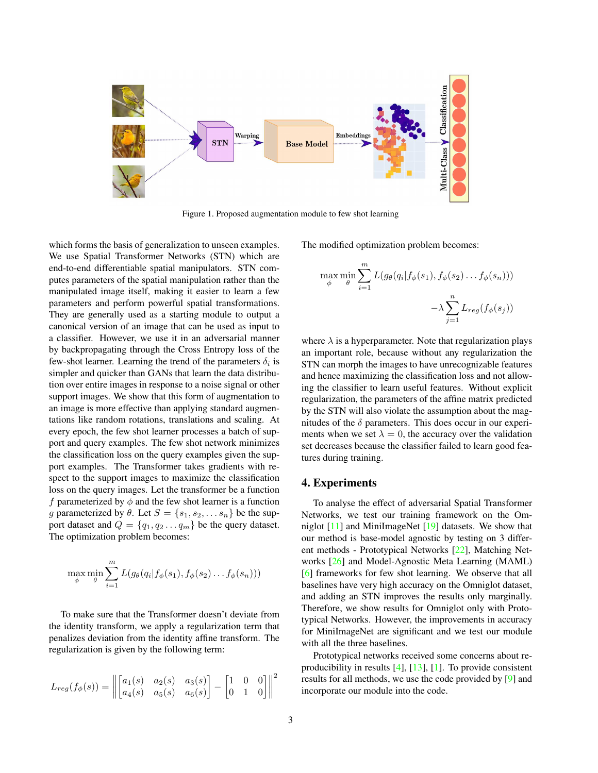

Figure 1. Proposed augmentation module to few shot learning

which forms the basis of generalization to unseen examples. We use Spatial Transformer Networks (STN) which are end-to-end differentiable spatial manipulators. STN computes parameters of the spatial manipulation rather than the manipulated image itself, making it easier to learn a few parameters and perform powerful spatial transformations. They are generally used as a starting module to output a canonical version of an image that can be used as input to a classifier. However, we use it in an adversarial manner by backpropagating through the Cross Entropy loss of the few-shot learner. Learning the trend of the parameters  $\delta_i$  is simpler and quicker than GANs that learn the data distribution over entire images in response to a noise signal or other support images. We show that this form of augmentation to an image is more effective than applying standard augmentations like random rotations, translations and scaling. At every epoch, the few shot learner processes a batch of support and query examples. The few shot network minimizes the classification loss on the query examples given the support examples. The Transformer takes gradients with respect to the support images to maximize the classification loss on the query images. Let the transformer be a function f parameterized by  $\phi$  and the few shot learner is a function g parameterized by  $\theta$ . Let  $S = \{s_1, s_2, \dots s_n\}$  be the support dataset and  $Q = \{q_1, q_2 \dots q_m\}$  be the query dataset. The optimization problem becomes:

$$
\max_{\phi} \min_{\theta} \sum_{i=1}^{m} L(g_{\theta}(q_i | f_{\phi}(s_1), f_{\phi}(s_2) \dots f_{\phi}(s_n)))
$$

To make sure that the Transformer doesn't deviate from the identity transform, we apply a regularization term that penalizes deviation from the identity affine transform. The regularization is given by the following term:

$$
L_{reg}(f_{\phi}(s)) = \left\| \begin{bmatrix} a_1(s) & a_2(s) & a_3(s) \\ a_4(s) & a_5(s) & a_6(s) \end{bmatrix} - \begin{bmatrix} 1 & 0 & 0 \\ 0 & 1 & 0 \end{bmatrix} \right\|^2
$$

The modified optimization problem becomes:

$$
\max_{\phi} \min_{\theta} \sum_{i=1}^{m} L(g_{\theta}(q_i | f_{\phi}(s_1), f_{\phi}(s_2) \dots f_{\phi}(s_n))) -\lambda \sum_{j=1}^{n} L_{reg}(f_{\phi}(s_j))
$$

where  $\lambda$  is a hyperparameter. Note that regularization plays an important role, because without any regularization the STN can morph the images to have unrecognizable features and hence maximizing the classification loss and not allowing the classifier to learn useful features. Without explicit regularization, the parameters of the affine matrix predicted by the STN will also violate the assumption about the magnitudes of the  $\delta$  parameters. This does occur in our experiments when we set  $\lambda = 0$ , the accuracy over the validation set decreases because the classifier failed to learn good features during training.

#### 4. Experiments

To analyse the effect of adversarial Spatial Transformer Networks, we test our training framework on the Omniglot [11] and MiniImageNet [19] datasets. We show that our method is base-model agnostic by testing on 3 different methods - Prototypical Networks [22], Matching Networks [26] and Model-Agnostic Meta Learning (MAML) [6] frameworks for few shot learning. We observe that all baselines have very high accuracy on the Omniglot dataset, and adding an STN improves the results only marginally. Therefore, we show results for Omniglot only with Prototypical Networks. However, the improvements in accuracy for MiniImageNet are significant and we test our module with all the three baselines.

Prototypical networks received some concerns about reproducibility in results  $[4]$ ,  $[13]$ ,  $[1]$ . To provide consistent results for all methods, we use the code provided by [9] and incorporate our module into the code.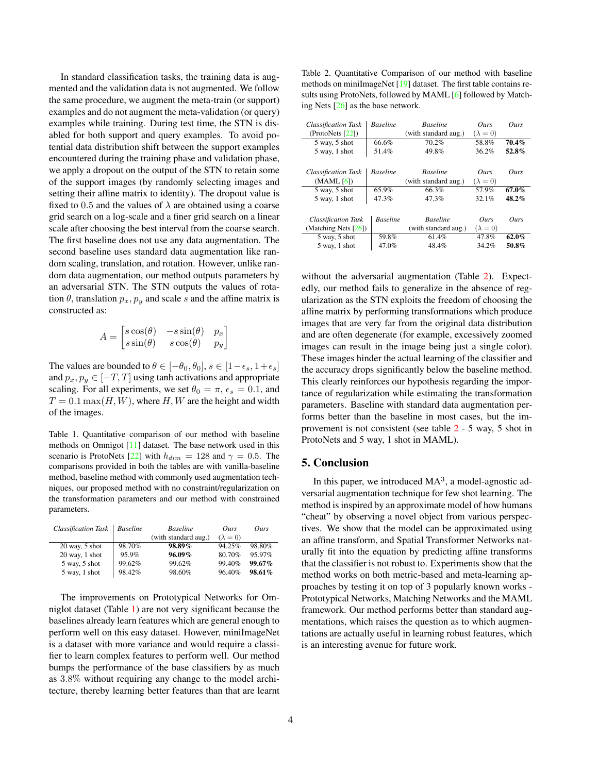In standard classification tasks, the training data is augmented and the validation data is not augmented. We follow the same procedure, we augment the meta-train (or support) examples and do not augment the meta-validation (or query) examples while training. During test time, the STN is disabled for both support and query examples. To avoid potential data distribution shift between the support examples encountered during the training phase and validation phase, we apply a dropout on the output of the STN to retain some of the support images (by randomly selecting images and setting their affine matrix to identity). The dropout value is fixed to 0.5 and the values of  $\lambda$  are obtained using a coarse grid search on a log-scale and a finer grid search on a linear scale after choosing the best interval from the coarse search. The first baseline does not use any data augmentation. The second baseline uses standard data augmentation like random scaling, translation, and rotation. However, unlike random data augmentation, our method outputs parameters by an adversarial STN. The STN outputs the values of rotation  $\theta$ , translation  $p_x, p_y$  and scale s and the affine matrix is constructed as:

$$
A = \begin{bmatrix} s\cos(\theta) & -s\sin(\theta) & p_x \\ s\sin(\theta) & s\cos(\theta) & p_y \end{bmatrix}
$$

The values are bounded to  $\theta \in [-\theta_0, \theta_0], s \in [1-\epsilon_s, 1+\epsilon_s]$ and  $p_x, p_y \in [-T, T]$  using tanh activations and appropriate scaling. For all experiments, we set  $\theta_0 = \pi$ ,  $\epsilon_s = 0.1$ , and  $T = 0.1$  max $(H, W)$ , where H, W are the height and width of the images.

Table 1. Quantitative comparison of our method with baseline methods on Omnigot [11] dataset. The base network used in this scenario is ProtoNets [22] with  $h_{dim} = 128$  and  $\gamma = 0.5$ . The comparisons provided in both the tables are with vanilla-baseline method, baseline method with commonly used augmentation techniques, our proposed method with no constraint/regularization on the transformation parameters and our method with constrained parameters.

| Classification Task | <b>Baseline</b> | <b>Baseline</b>      | Ours            | Ours      |
|---------------------|-----------------|----------------------|-----------------|-----------|
|                     |                 | (with standard aug.) | $(\lambda = 0)$ |           |
| $20$ way, $5$ shot  | 98.70%          | 98.89%               | 94.25%          | 98.80%    |
| $20$ way, 1 shot    | 95.9%           | $96.09\%$            | 80.70%          | 95.97%    |
| 5 way, 5 shot       | 99.62%          | 99.62%               | 99.40%          | $99.67\%$ |
| 5 way, 1 shot       | 98.42%          | 98.60%               | 96.40%          | $98.61\%$ |

The improvements on Prototypical Networks for Omniglot dataset (Table 1) are not very significant because the baselines already learn features which are general enough to perform well on this easy dataset. However, miniImageNet is a dataset with more variance and would require a classifier to learn complex features to perform well. Our method bumps the performance of the base classifiers by as much as 3.8% without requiring any change to the model architecture, thereby learning better features than that are learnt

| <b>Classification Task</b> | <b>Baseline</b> | <b>Baseline</b>      | Ours            | Ours     |
|----------------------------|-----------------|----------------------|-----------------|----------|
| (ProtoNets [22])           |                 | (with standard aug.) | $(\lambda = 0)$ |          |
| 5 way, 5 shot              | 66.6%           | 70.2%                | 58.8%           | 70.4%    |
| 5 way, 1 shot              | 51.4%           | 49.8%                | 36.2%           | 52.8%    |
|                            |                 |                      |                 |          |
| <b>Classification Task</b> | <b>Baseline</b> | <b>Baseline</b>      | Ours            | Ours     |
| (MAML [6])                 |                 | (with standard aug.) | $(\lambda = 0)$ |          |
| 5 way, 5 shot              | 65.9%           | 66.3%                | 57.9%           | $67.0\%$ |
| 5 way, 1 shot              | 47.3%           | 47.3%                | 32.1%           | $48.2\%$ |
|                            |                 |                      |                 |          |
| <b>Classification Task</b> | <b>Baseline</b> | <b>Baseline</b>      | Ours            | Ours     |
| (Matching Nets [26])       |                 | (with standard aug.) | $(\lambda = 0)$ |          |
| 5 way, 5 shot              | 59.8%           | 61.4%                | 47.8%           | $62.0\%$ |
| 5 way, 1 shot              | 47.0%           | 48.4%                | 34.2%           | 50.8%    |
|                            |                 |                      |                 |          |

without the adversarial augmentation (Table 2). Expectedly, our method fails to generalize in the absence of regularization as the STN exploits the freedom of choosing the affine matrix by performing transformations which produce images that are very far from the original data distribution and are often degenerate (for example, excessively zoomed images can result in the image being just a single color). These images hinder the actual learning of the classifier and the accuracy drops significantly below the baseline method. This clearly reinforces our hypothesis regarding the importance of regularization while estimating the transformation parameters. Baseline with standard data augmentation performs better than the baseline in most cases, but the improvement is not consistent (see table 2 - 5 way, 5 shot in ProtoNets and 5 way, 1 shot in MAML).

#### 5. Conclusion

In this paper, we introduced  $MA<sup>3</sup>$ , a model-agnostic adversarial augmentation technique for few shot learning. The method is inspired by an approximate model of how humans "cheat" by observing a novel object from various perspectives. We show that the model can be approximated using an affine transform, and Spatial Transformer Networks naturally fit into the equation by predicting affine transforms that the classifier is not robust to. Experiments show that the method works on both metric-based and meta-learning approaches by testing it on top of 3 popularly known works - Prototypical Networks, Matching Networks and the MAML framework. Our method performs better than standard augmentations, which raises the question as to which augmentations are actually useful in learning robust features, which is an interesting avenue for future work.